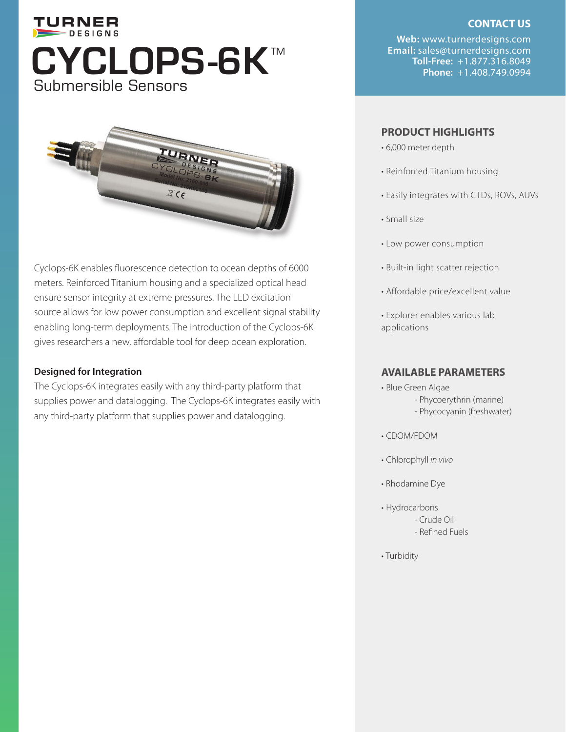## TURNER DESIGNS **Toll-Free:** +1.877.316.8049 Submersible Sensors



Cyclops-6K enables fluorescence detection to ocean depths of 6000 meters. Reinforced Titanium housing and a specialized optical head ensure sensor integrity at extreme pressures. The LED excitation source allows for low power consumption and excellent signal stability enabling long-term deployments. The introduction of the Cyclops-6K gives researchers a new, affordable tool for deep ocean exploration.

#### **Designed for Integration**

The Cyclops-6K integrates easily with any third-party platform that supplies power and datalogging. The Cyclops-6K integrates easily with any third-party platform that supplies power and datalogging.

#### **CONTACT US**

**Web:** www.turnerdesigns.com **Email:** sales@turnerdesigns.com

### **PRODUCT HIGHLIGHTS**

- 6,000 meter depth
- Reinforced Titanium housing
- Easily integrates with CTDs, ROVs, AUVs
- Small size
- Low power consumption
- Built-in light scatter rejection
- Affordable price/excellent value
- Explorer enables various lab applications

#### **AVAILABLE PARAMETERS**

- Blue Green Algae - Phycoerythrin (marine)
	- Phycocyanin (freshwater)
- CDOM/FDOM
- Chlorophyll *in vivo*
- Rhodamine Dye
- Hydrocarbons
	- Crude Oil
	- Refined Fuels
- Turbidity